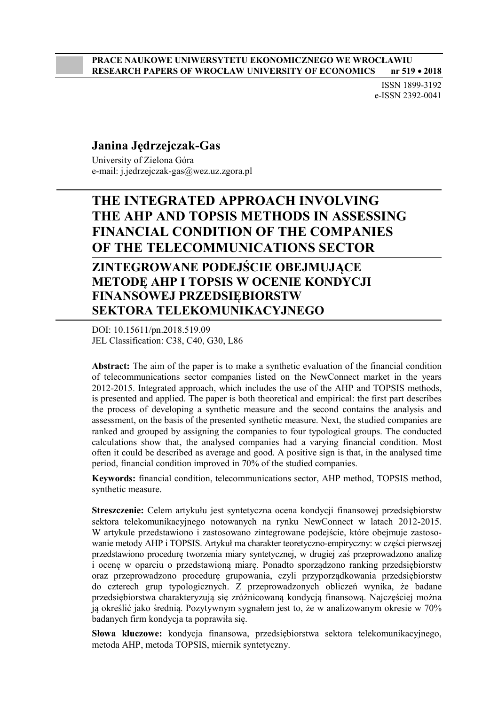ISSN 1899-3192 e-ISSN 2392-0041

#### **Janina Jędrzejczak-Gas**

University of Zielona Góra e-mail: j.jedrzejczak-gas@wez.uz.zgora.pl

## **THE INTEGRATED APPROACH INVOLVING THE AHP AND TOPSIS METHODS IN ASSESSING FINANCIAL CONDITION OF THE COMPANIES OF THE TELECOMMUNICATIONS SECTOR**

### **ZINTEGROWANE PODEJŚCIE OBEJMUJĄCE METODĘ AHP I TOPSIS W OCENIE KONDYCJI FINANSOWEJ PRZEDSIĘBIORSTW SEKTORA TELEKOMUNIKACYJNEGO**

DOI: 10.15611/pn.2018.519.09 JEL Classification: C38, C40, G30, L86

**Abstract:** The aim of the paper is to make a synthetic evaluation of the financial condition of telecommunications sector companies listed on the NewConnect market in the years 2012-2015. Integrated approach, which includes the use of the AHP and TOPSIS methods, is presented and applied. The paper is both theoretical and empirical: the first part describes the process of developing a synthetic measure and the second contains the analysis and assessment, on the basis of the presented synthetic measure. Next, the studied companies are ranked and grouped by assigning the companies to four typological groups. The conducted calculations show that, the analysed companies had a varying financial condition. Most often it could be described as average and good. A positive sign is that, in the analysed time period, financial condition improved in 70% of the studied companies.

**Keywords:** financial condition, telecommunications sector, AHP method, TOPSIS method, synthetic measure.

**Streszczenie:** Celem artykułu jest syntetyczna ocena kondycji finansowej przedsiębiorstw sektora telekomunikacyjnego notowanych na rynku NewConnect w latach 2012-2015. W artykule przedstawiono i zastosowano zintegrowane podejście, które obejmuje zastosowanie metody AHP i TOPSIS. Artykuł ma charakter teoretyczno-empiryczny: w części pierwszej przedstawiono procedurę tworzenia miary syntetycznej, w drugiej zaś przeprowadzono analizę i ocenę w oparciu o przedstawioną miarę. Ponadto sporządzono ranking przedsiębiorstw oraz przeprowadzono procedurę grupowania, czyli przyporządkowania przedsiębiorstw do czterech grup typologicznych. Z przeprowadzonych obliczeń wynika, że badane przedsiębiorstwa charakteryzują się zróżnicowaną kondycją finansową. Najczęściej można ją określić jako średnią. Pozytywnym sygnałem jest to, że w analizowanym okresie w 70% badanych firm kondycja ta poprawiła się.

**Słowa kluczowe:** kondycja finansowa, przedsiębiorstwa sektora telekomunikacyjnego, metoda AHP, metoda TOPSIS, miernik syntetyczny.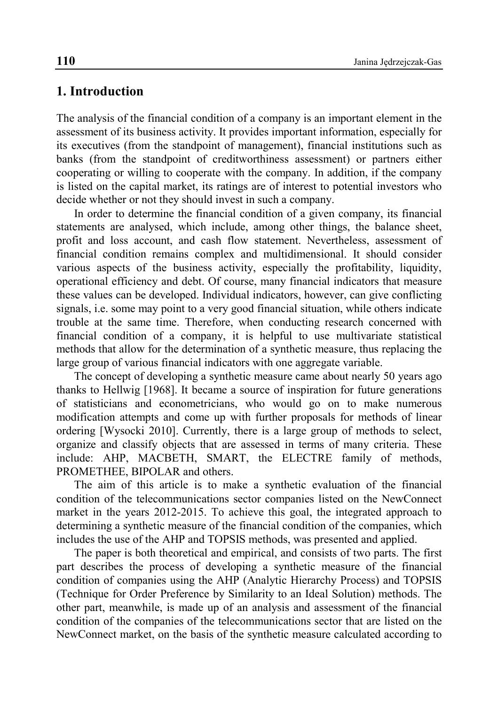#### **1. Introduction**

The analysis of the financial condition of a company is an important element in the assessment of its business activity. It provides important information, especially for its executives (from the standpoint of management), financial institutions such as banks (from the standpoint of creditworthiness assessment) or partners either cooperating or willing to cooperate with the company. In addition, if the company is listed on the capital market, its ratings are of interest to potential investors who decide whether or not they should invest in such a company.

In order to determine the financial condition of a given company, its financial statements are analysed, which include, among other things, the balance sheet, profit and loss account, and cash flow statement. Nevertheless, assessment of financial condition remains complex and multidimensional. It should consider various aspects of the business activity, especially the profitability, liquidity, operational efficiency and debt. Of course, many financial indicators that measure these values can be developed. Individual indicators, however, can give conflicting signals, i.e. some may point to a very good financial situation, while others indicate trouble at the same time. Therefore, when conducting research concerned with financial condition of a company, it is helpful to use multivariate statistical methods that allow for the determination of a synthetic measure, thus replacing the large group of various financial indicators with one aggregate variable.

The concept of developing a synthetic measure came about nearly 50 years ago thanks to Hellwig [1968]. It became a source of inspiration for future generations of statisticians and econometricians, who would go on to make numerous modification attempts and come up with further proposals for methods of linear ordering [Wysocki 2010]. Currently, there is a large group of methods to select, organize and classify objects that are assessed in terms of many criteria. These include: AHP, MACBETH, SMART, the ELECTRE family of methods, PROMETHEE, BIPOLAR and others.

The aim of this article is to make a synthetic evaluation of the financial condition of the telecommunications sector companies listed on the NewConnect market in the years 2012-2015. To achieve this goal, the integrated approach to determining a synthetic measure of the financial condition of the companies, which includes the use of the AHP and TOPSIS methods, was presented and applied.

The paper is both theoretical and empirical, and consists of two parts. The first part describes the process of developing a synthetic measure of the financial condition of companies using the AHP (Analytic Hierarchy Process) and TOPSIS (Technique for Order Preference by Similarity to an Ideal Solution) methods. The other part, meanwhile, is made up of an analysis and assessment of the financial condition of the companies of the telecommunications sector that are listed on the NewConnect market, on the basis of the synthetic measure calculated according to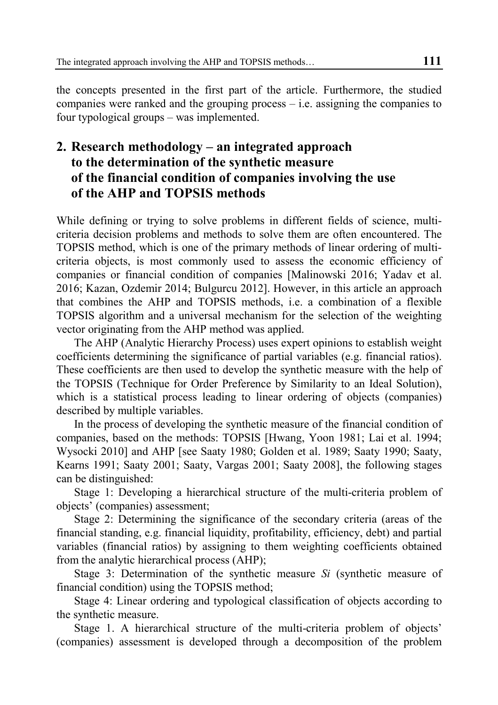the concepts presented in the first part of the article. Furthermore, the studied companies were ranked and the grouping process – i.e. assigning the companies to four typological groups – was implemented.

# **2. Research methodology – an integrated approach to the determination of the synthetic measure of the financial condition of companies involving the use of the AHP and TOPSIS methods**

While defining or trying to solve problems in different fields of science, multicriteria decision problems and methods to solve them are often encountered. The TOPSIS method, which is one of the primary methods of linear ordering of multicriteria objects, is most commonly used to assess the economic efficiency of companies or financial condition of companies [Malinowski 2016; Yadav et al. 2016; Kazan, Ozdemir 2014; Bulgurcu 2012]. However, in this article an approach that combines the AHP and TOPSIS methods, i.e. a combination of a flexible TOPSIS algorithm and a universal mechanism for the selection of the weighting vector originating from the AHP method was applied.

The AHP (Analytic Hierarchy Process) uses expert opinions to establish weight coefficients determining the significance of partial variables (e.g. financial ratios). These coefficients are then used to develop the synthetic measure with the help of the TOPSIS (Technique for Order Preference by Similarity to an Ideal Solution), which is a statistical process leading to linear ordering of objects (companies) described by multiple variables.

In the process of developing the synthetic measure of the financial condition of companies, based on the methods: TOPSIS [Hwang, Yoon 1981; Lai et al. 1994; Wysocki 2010] and AHP [see Saaty 1980; Golden et al. 1989; Saaty 1990; Saaty, Kearns 1991; Saaty 2001; Saaty, Vargas 2001; Saaty 2008], the following stages can be distinguished:

Stage 1: Developing a hierarchical structure of the multi-criteria problem of objects' (companies) assessment;

Stage 2: Determining the significance of the secondary criteria (areas of the financial standing, e.g. financial liquidity, profitability, efficiency, debt) and partial variables (financial ratios) by assigning to them weighting coefficients obtained from the analytic hierarchical process (AHP);

Stage 3: Determination of the synthetic measure *Si* (synthetic measure of financial condition) using the TOPSIS method;

Stage 4: Linear ordering and typological classification of objects according to the synthetic measure.

Stage 1. A hierarchical structure of the multi-criteria problem of objects' (companies) assessment is developed through a decomposition of the problem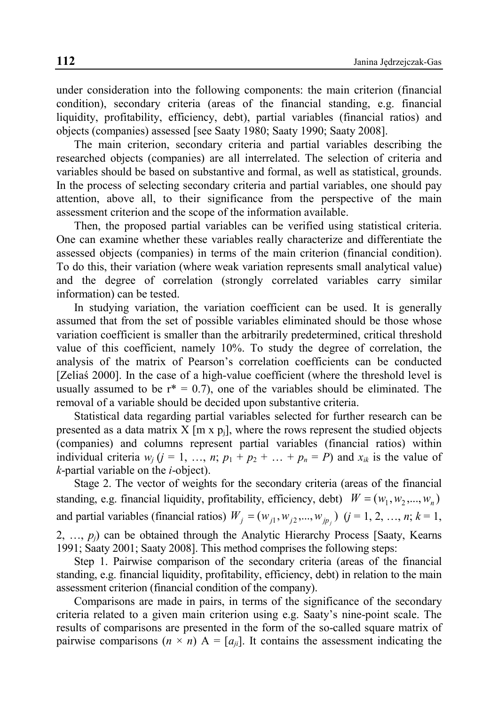under consideration into the following components: the main criterion (financial condition), secondary criteria (areas of the financial standing, e.g. financial liquidity, profitability, efficiency, debt), partial variables (financial ratios) and objects (companies) assessed [see Saaty 1980; Saaty 1990; Saaty 2008].

The main criterion, secondary criteria and partial variables describing the researched objects (companies) are all interrelated. The selection of criteria and variables should be based on substantive and formal, as well as statistical, grounds. In the process of selecting secondary criteria and partial variables, one should pay attention, above all, to their significance from the perspective of the main assessment criterion and the scope of the information available.

Then, the proposed partial variables can be verified using statistical criteria. One can examine whether these variables really characterize and differentiate the assessed objects (companies) in terms of the main criterion (financial condition). To do this, their variation (where weak variation represents small analytical value) and the degree of correlation (strongly correlated variables carry similar information) can be tested.

In studying variation, the variation coefficient can be used. It is generally assumed that from the set of possible variables eliminated should be those whose variation coefficient is smaller than the arbitrarily predetermined, critical threshold value of this coefficient, namely 10%. To study the degree of correlation, the analysis of the matrix of Pearson's correlation coefficients can be conducted [Zeliaś 2000]. In the case of a high-value coefficient (where the threshold level is usually assumed to be  $r^* = 0.7$ , one of the variables should be eliminated. The removal of a variable should be decided upon substantive criteria.

Statistical data regarding partial variables selected for further research can be presented as a data matrix X  $[m \times p_i]$ , where the rows represent the studied objects (companies) and columns represent partial variables (financial ratios) within individual criteria  $w_i$  ( $j = 1, ..., n$ ;  $p_1 + p_2 + ... + p_n = P$ ) and  $x_{ik}$  is the value of *k*-partial variable on the *i*-object).

Stage 2. The vector of weights for the secondary criteria (areas of the financial standing, e.g. financial liquidity, profitability, efficiency, debt)  $W = (w_1, w_2, ..., w_n)$ and partial variables (financial ratios)  $W_j = (w_{j1}, w_{j2},..., w_{jp_j})$   $(j = 1, 2, ..., n; k = 1,$ 2,  $\ldots$ ,  $p_i$ ) can be obtained through the Analytic Hierarchy Process [Saaty, Kearns 1991; Saaty 2001; Saaty 2008]. This method comprises the following steps:

Step 1. Pairwise comparison of the secondary criteria (areas of the financial standing, e.g. financial liquidity, profitability, efficiency, debt) in relation to the main assessment criterion (financial condition of the company).

Comparisons are made in pairs, in terms of the significance of the secondary criteria related to a given main criterion using e.g. Saaty's nine-point scale. The results of comparisons are presented in the form of the so-called square matrix of pairwise comparisons  $(n \times n)$  A =  $[a_{ij}]$ . It contains the assessment indicating the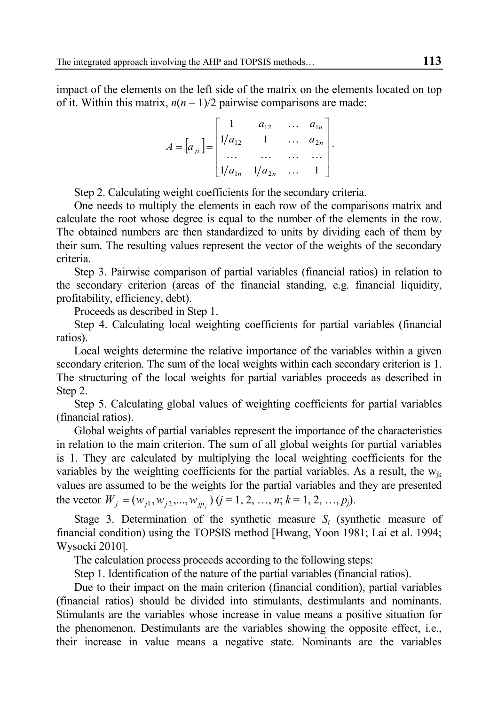impact of the elements on the left side of the matrix on the elements located on top of it. Within this matrix,  $n(n-1)/2$  pairwise comparisons are made:

$$
A = [a_{ji}] = \begin{bmatrix} 1 & a_{12} & \dots & a_{1n} \\ 1/a_{12} & 1 & \dots & a_{2n} \\ \dots & \dots & \dots & \dots \\ 1/a_{1n} & 1/a_{2n} & \dots & 1 \end{bmatrix}.
$$

Step 2. Calculating weight coefficients for the secondary criteria.

One needs to multiply the elements in each row of the comparisons matrix and calculate the root whose degree is equal to the number of the elements in the row. The obtained numbers are then standardized to units by dividing each of them by their sum. The resulting values represent the vector of the weights of the secondary criteria.

Step 3. Pairwise comparison of partial variables (financial ratios) in relation to the secondary criterion (areas of the financial standing, e.g. financial liquidity, profitability, efficiency, debt).

Proceeds as described in Step 1.

Step 4. Calculating local weighting coefficients for partial variables (financial ratios).

Local weights determine the relative importance of the variables within a given secondary criterion. The sum of the local weights within each secondary criterion is 1. The structuring of the local weights for partial variables proceeds as described in Step 2.

Step 5. Calculating global values of weighting coefficients for partial variables (financial ratios).

Global weights of partial variables represent the importance of the characteristics in relation to the main criterion. The sum of all global weights for partial variables is 1. They are calculated by multiplying the local weighting coefficients for the variables by the weighting coefficients for the partial variables. As a result, the  $w_{ik}$ values are assumed to be the weights for the partial variables and they are presented the vector  $W_j = (w_{j1}, w_{j2},..., w_{jp_j})$   $(j = 1, 2, ..., n; k = 1, 2, ..., p_j)$ .

Stage 3. Determination of the synthetic measure  $S_i$  (synthetic measure of financial condition) using the TOPSIS method [Hwang, Yoon 1981; Lai et al. 1994; Wysocki 2010].

The calculation process proceeds according to the following steps:

Step 1. Identification of the nature of the partial variables (financial ratios).

Due to their impact on the main criterion (financial condition), partial variables (financial ratios) should be divided into stimulants, destimulants and nominants. Stimulants are the variables whose increase in value means a positive situation for the phenomenon. Destimulants are the variables showing the opposite effect, i.e., their increase in value means a negative state. Nominants are the variables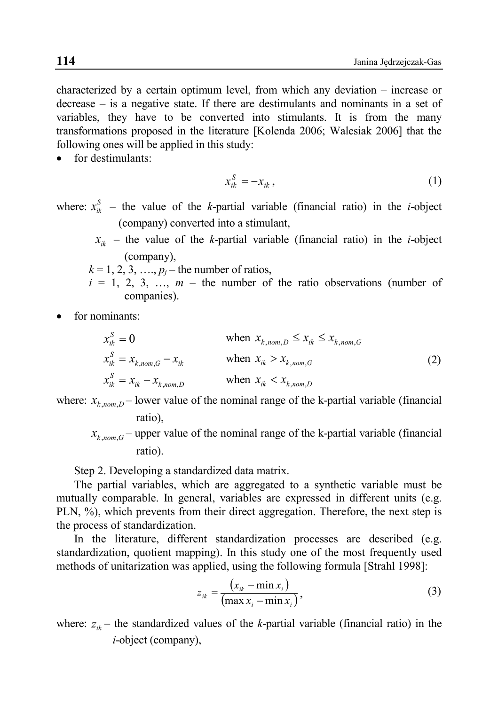characterized by a certain optimum level, from which any deviation – increase or decrease – is a negative state. If there are destimulants and nominants in a set of variables, they have to be converted into stimulants. It is from the many transformations proposed in the literature [Kolenda 2006; Walesiak 2006] that the following ones will be applied in this study:

for destimulants:

$$
x_{ik}^S = -x_{ik},\tag{1}
$$

where:  $x_{ik}^S$  – the value of the *k*-partial variable (financial ratio) in the *i*-object (company) converted into a stimulant,

 $x_{ik}$  – the value of the *k*-partial variable (financial ratio) in the *i*-object (company),

$$
k = 1, 2, 3, \ldots, p_j
$$
—the number of ratios,  
 $i = 1, 2, 3, \ldots, m$ —the number of the ratio observations (number of  
companies).

for nominants:

$$
x_{ik}^{S} = 0 \qquad \text{when } x_{k,nom,D} \le x_{ik} \le x_{k,nom,G}
$$
  
\n
$$
x_{ik}^{S} = x_{k,nom,G} - x_{ik} \qquad \text{when } x_{ik} > x_{k,nom,G}
$$
  
\n
$$
x_{ik}^{S} = x_{ik} - x_{k,nom,D} \qquad \text{when } x_{ik} < x_{k,nom,D}
$$
 (2)

where:  $x_{k,nom,D}$  – lower value of the nominal range of the k-partial variable (financial ratio),

 $x_{k,nom,G}$  – upper value of the nominal range of the k-partial variable (financial ratio).

Step 2. Developing a standardized data matrix.

The partial variables, which are aggregated to a synthetic variable must be mutually comparable. In general, variables are expressed in different units (e.g. PLN, %), which prevents from their direct aggregation. Therefore, the next step is the process of standardization.

In the literature, different standardization processes are described (e.g. standardization, quotient mapping). In this study one of the most frequently used methods of unitarization was applied, using the following formula [Strahl 1998]:

$$
z_{ik} = \frac{(x_{ik} - \min x_i)}{(\max x_i - \min x_i)},
$$
\n(3)

where:  $z_{ik}$  – the standardized values of the *k*-partial variable (financial ratio) in the *i*-object (company),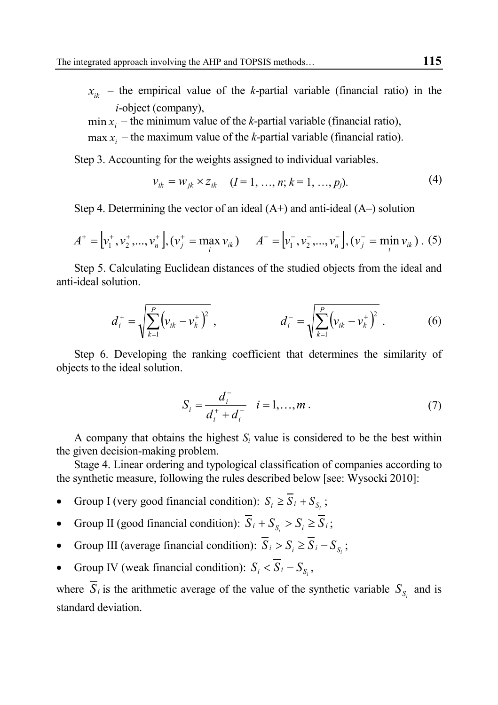- $x_{ik}$  the empirical value of the *k*-partial variable (financial ratio) in the *i*-object (company),
- $\min x_i$  the minimum value of the *k*-partial variable (financial ratio),
- $max x_i$  the maximum value of the *k*-partial variable (financial ratio).

Step 3. Accounting for the weights assigned to individual variables.

$$
v_{ik} = w_{jk} \times z_{ik} \quad (I = 1, ..., n; k = 1, ..., p_j). \tag{4}
$$

Step 4. Determining the vector of an ideal  $(A+)$  and anti-ideal  $(A-)$  solution

$$
A^+ = \left[v_1^+, v_2^+, ..., v_n^+\right], \left(v_j^+ = \max_i v_{ik}\right) \quad A^- = \left[v_1^-, v_2^-, ..., v_n^-\right], \left(v_j^- = \min_i v_{ik}\right).
$$
 (5)

Step 5. Calculating Euclidean distances of the studied objects from the ideal and anti-ideal solution.

$$
d_i^+ = \sqrt{\sum_{k=1}^P (v_{ik} - v_k^+)^2}, \qquad d_i^- = \sqrt{\sum_{k=1}^P (v_{ik} - v_k^+)^2}.
$$
 (6)

Step 6. Developing the ranking coefficient that determines the similarity of objects to the ideal solution.

$$
S_i = \frac{d_i^-}{d_i^+ + d_i^-} \quad i = 1, ..., m \,.
$$
 (7)

A company that obtains the highest  $S_i$  value is considered to be the best within the given decision-making problem.

Stage 4. Linear ordering and typological classification of companies according to the synthetic measure, following the rules described below [see: Wysocki 2010]:

- Group I (very good financial condition):  $S_i \ge \overline{S}_i + S_{\overline{S}_i}$ ;
- Group II (good financial condition):  $\overline{S}_i + S_s > S_i \ge \overline{S}_i$ ;
- Group III (average financial condition):  $\overline{S}_i > S_i \ge \overline{S}_i S_{\overline{S}_i}$ ;
- Group IV (weak financial condition):  $S_i < \overline{S}_i S_{\overline{S}_i}$ ,

where  $\overline{S}_i$  is the arithmetic average of the value of the synthetic variable  $S_{\rm s}$  and is standard deviation.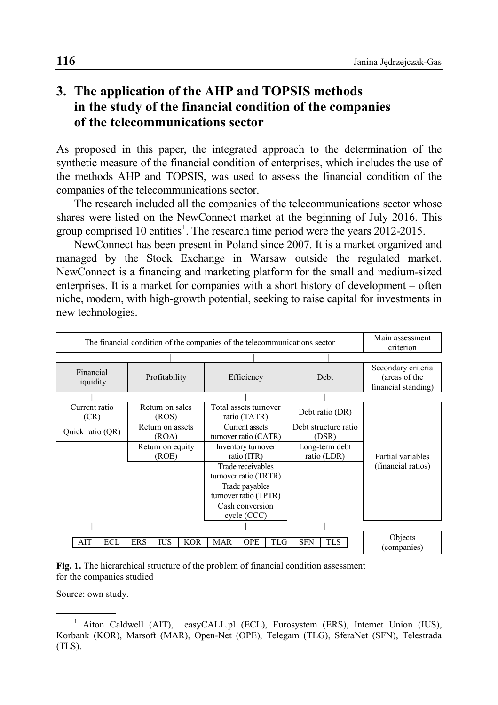# **3. The application of the AHP and TOPSIS methods in the study of the financial condition of the companies of the telecommunications sector**

As proposed in this paper, the integrated approach to the determination of the synthetic measure of the financial condition of enterprises, which includes the use of the methods AHP and TOPSIS, was used to assess the financial condition of the companies of the telecommunications sector.

The research included all the companies of the telecommunications sector whose shares were listed on the NewConnect market at the beginning of July 2016. This group comprised [1](#page-7-0)0 entities<sup>1</sup>. The research time period were the years 2012-2015.

NewConnect has been present in Poland since 2007. It is a market organized and managed by the Stock Exchange in Warsaw outside the regulated market. NewConnect is a financing and marketing platform for the small and medium-sized enterprises. It is a market for companies with a short history of development – often niche, modern, with high-growth potential, seeking to raise capital for investments in new technologies.

| The financial condition of the companies of the telecommunications sector | Main assessment<br>criterion |                                            |                               |                                                            |
|---------------------------------------------------------------------------|------------------------------|--------------------------------------------|-------------------------------|------------------------------------------------------------|
|                                                                           |                              |                                            |                               |                                                            |
| Financial<br>liquidity                                                    | Profitability                | Efficiency                                 | Debt                          | Secondary criteria<br>(areas of the<br>financial standing) |
|                                                                           |                              |                                            |                               |                                                            |
| Current ratio<br>(CR)                                                     | Return on sales<br>(ROS)     | Total assets turnover<br>ratio (TATR)      | Debt ratio (DR)               |                                                            |
| Quick ratio (QR)                                                          | Return on assets<br>(ROA)    | Current assets<br>turnover ratio (CATR)    | Debt structure ratio<br>(DSR) |                                                            |
|                                                                           | Return on equity<br>(ROE)    | Inventory turnover<br>ratio (ITR)          | Long-term debt<br>ratio (LDR) | Partial variables                                          |
|                                                                           |                              | Trade receivables<br>turnover ratio (TRTR) |                               | (financial ratios)                                         |
|                                                                           |                              | Trade payables<br>turnover ratio (TPTR)    |                               |                                                            |
|                                                                           |                              | Cash conversion<br>cycle (CCC)             |                               |                                                            |
|                                                                           |                              |                                            |                               |                                                            |
| AIT<br>ECL                                                                | Objects<br>(companies)       |                                            |                               |                                                            |

**Fig. 1.** The hierarchical structure of the problem of financial condition assessment for the companies studied

Source: own study.

<span id="page-7-0"></span><sup>&</sup>lt;sup>1</sup> Aiton Caldwell (AIT), easyCALL.pl (ECL), Eurosystem (ERS), Internet Union (IUS), Korbank (KOR), Marsoft (MAR), Open-Net (OPE), Telegam (TLG), SferaNet (SFN), Telestrada (TLS).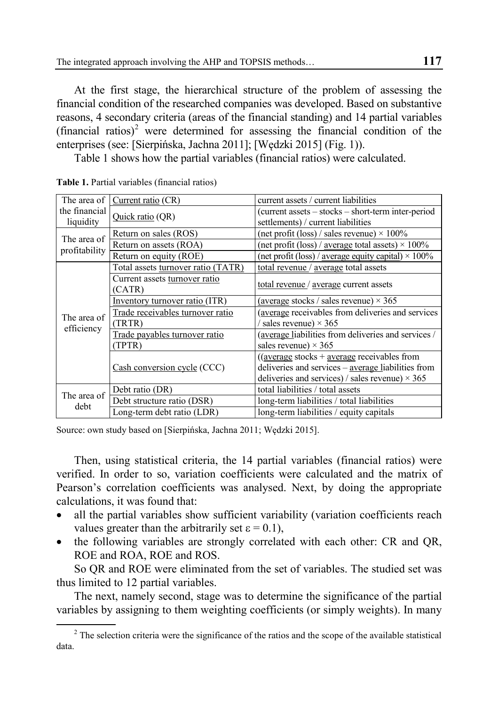At the first stage, the hierarchical structure of the problem of assessing the financial condition of the researched companies was developed. Based on substantive reasons, 4 secondary criteria (areas of the financial standing) and 14 partial variables (financial ratios)<sup>[2](#page-8-0)</sup> were determined for assessing the financial condition of the enterprises (see: [Sierpińska, Jachna 2011]; [Wędzki 2015] (Fig. 1)).

Table 1 shows how the partial variables (financial ratios) were calculated.

| The area of                  | Current ratio (CR)                 | current assets / current liabilities                               |  |  |  |
|------------------------------|------------------------------------|--------------------------------------------------------------------|--|--|--|
| the financial                | Quick ratio (QR)                   | (current assets - stocks - short-term inter-period                 |  |  |  |
| liquidity                    |                                    | settlements) / current liabilities                                 |  |  |  |
| The area of<br>profitability | Return on sales (ROS)              | (net profit (loss) / sales revenue) $\times$ 100%                  |  |  |  |
|                              | Return on assets (ROA)             | (net profit (loss) / <u>average</u> total assets) $\times$ 100%    |  |  |  |
|                              | Return on equity (ROE)             | (net profit (loss) / <u>average equity capital</u> ) $\times$ 100% |  |  |  |
|                              | Total assets turnover ratio (TATR) | total revenue / average total assets                               |  |  |  |
| The area of<br>efficiency    | Current assets turnover ratio      | total revenue / average current assets                             |  |  |  |
|                              | (CATR)                             |                                                                    |  |  |  |
|                              | Inventory turnover ratio (ITR)     | (average stocks / sales revenue) $\times$ 365                      |  |  |  |
|                              | Trade receivables turnover ratio   | (average receivables from deliveries and services                  |  |  |  |
|                              | (TRTR)                             | $\frac{1}{3}$ sales revenue) $\times$ 365                          |  |  |  |
|                              | Trade payables turnover ratio      | (average liabilities from deliveries and services /                |  |  |  |
|                              | (TPTR)                             | sales revenue) $\times$ 365                                        |  |  |  |
|                              |                                    | $((average stocks + average receives the form)$                    |  |  |  |
|                              | Cash conversion cycle (CCC)        | deliveries and services – average liabilities from                 |  |  |  |
|                              |                                    | deliveries and services) / sales revenue) $\times$ 365             |  |  |  |
| The area of<br>debt          | Debt ratio (DR)                    | total liabilities / total assets                                   |  |  |  |
|                              | Debt structure ratio (DSR)         | long-term liabilities / total liabilities                          |  |  |  |
|                              | Long-term debt ratio (LDR)         | long-term liabilities / equity capitals                            |  |  |  |

**Table 1.** Partial variables (financial ratios)

Source: own study based on [Sierpińska, Jachna 2011; Wędzki 2015].

Then, using statistical criteria, the 14 partial variables (financial ratios) were verified. In order to so, variation coefficients were calculated and the matrix of Pearson's correlation coefficients was analysed. Next, by doing the appropriate calculations, it was found that:

- all the partial variables show sufficient variability (variation coefficients reach values greater than the arbitrarily set  $\varepsilon = 0.1$ ),
- the following variables are strongly correlated with each other: CR and QR, ROE and ROA, ROE and ROS.

So QR and ROE were eliminated from the set of variables. The studied set was thus limited to 12 partial variables.

The next, namely second, stage was to determine the significance of the partial variables by assigning to them weighting coefficients (or simply weights). In many

<span id="page-8-0"></span><sup>&</sup>lt;sup>2</sup> The selection criteria were the significance of the ratios and the scope of the available statistical data.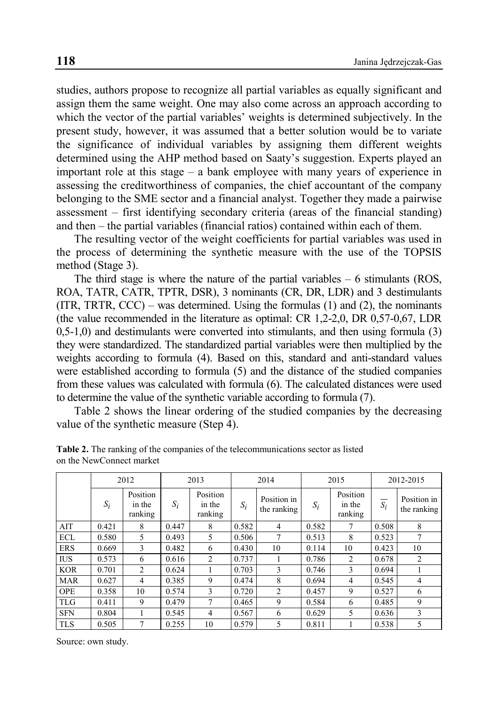studies, authors propose to recognize all partial variables as equally significant and assign them the same weight. One may also come across an approach according to which the vector of the partial variables' weights is determined subjectively. In the present study, however, it was assumed that a better solution would be to variate the significance of individual variables by assigning them different weights determined using the AHP method based on Saaty's suggestion. Experts played an important role at this stage – a bank employee with many years of experience in assessing the creditworthiness of companies, the chief accountant of the company belonging to the SME sector and a financial analyst. Together they made a pairwise assessment – first identifying secondary criteria (areas of the financial standing) and then – the partial variables (financial ratios) contained within each of them.

The resulting vector of the weight coefficients for partial variables was used in the process of determining the synthetic measure with the use of the TOPSIS method (Stage 3).

The third stage is where the nature of the partial variables – 6 stimulants (ROS, ROA, TATR, CATR, TPTR, DSR), 3 nominants (CR, DR, LDR) and 3 destimulants  $(ITR, TRTR, CCC)$  – was determined. Using the formulas  $(1)$  and  $(2)$ , the nominants (the value recommended in the literature as optimal: CR 1,2-2,0, DR 0,57-0,67, LDR 0,5-1,0) and destimulants were converted into stimulants, and then using formula (3) they were standardized. The standardized partial variables were then multiplied by the weights according to formula (4). Based on this, standard and anti-standard values were established according to formula (5) and the distance of the studied companies from these values was calculated with formula (6). The calculated distances were used to determine the value of the synthetic variable according to formula (7).

Table 2 shows the linear ordering of the studied companies by the decreasing value of the synthetic measure (Step 4).

|            | 2012  |                               | 2013  |                               | 2014  |                            | 2015  |                               | 2012-2015 |                            |
|------------|-------|-------------------------------|-------|-------------------------------|-------|----------------------------|-------|-------------------------------|-----------|----------------------------|
|            | $S_i$ | Position<br>in the<br>ranking | $S_i$ | Position<br>in the<br>ranking | $S_i$ | Position in<br>the ranking | $S_i$ | Position<br>in the<br>ranking | $S_i$     | Position in<br>the ranking |
| AIT        | 0.421 | 8                             | 0.447 | 8                             | 0.582 | 4                          | 0.582 | 7                             | 0.508     | 8                          |
| <b>ECL</b> | 0.580 | 5                             | 0.493 | 5                             | 0.506 | 7                          | 0.513 | 8                             | 0.523     | 7                          |
| <b>ERS</b> | 0.669 | 3                             | 0.482 | 6                             | 0.430 | 10                         | 0.114 | 10                            | 0.423     | 10                         |
| <b>IUS</b> | 0.573 | 6                             | 0.616 | $\overline{c}$                | 0.737 |                            | 0.786 | $\overline{c}$                | 0.678     | $\overline{2}$             |
| <b>KOR</b> | 0.701 | $\overline{c}$                | 0.624 |                               | 0.703 | 3                          | 0.746 | 3                             | 0.694     |                            |
| <b>MAR</b> | 0.627 | 4                             | 0.385 | 9                             | 0.474 | 8                          | 0.694 | 4                             | 0.545     | 4                          |
| <b>OPE</b> | 0.358 | 10                            | 0.574 | $\mathcal{F}$                 | 0.720 | $\overline{c}$             | 0.457 | 9                             | 0.527     | 6                          |
| <b>TLG</b> | 0.411 | 9                             | 0.479 | 7                             | 0.465 | 9                          | 0.584 | 6                             | 0.485     | 9                          |
| <b>SFN</b> | 0.804 |                               | 0.545 | 4                             | 0.567 | 6                          | 0.629 | 5                             | 0.636     | 3                          |
| <b>TLS</b> | 0.505 | $\overline{7}$                | 0.255 | 10                            | 0.579 | 5                          | 0.811 |                               | 0.538     | $\overline{\phantom{0}}$   |

**Table 2.** The ranking of the companies of the telecommunications sector as listed on the NewConnect market

Source: own study.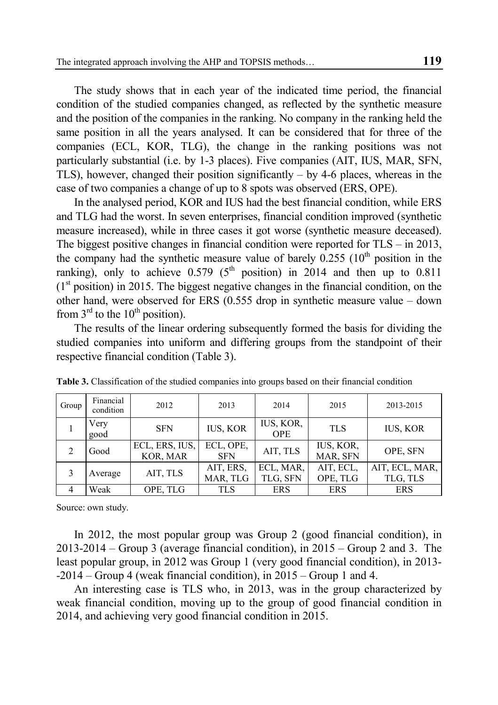The study shows that in each year of the indicated time period, the financial condition of the studied companies changed, as reflected by the synthetic measure and the position of the companies in the ranking. No company in the ranking held the same position in all the years analysed. It can be considered that for three of the companies (ECL, KOR, TLG), the change in the ranking positions was not particularly substantial (i.e. by 1-3 places). Five companies (AIT, IUS, MAR, SFN, TLS), however, changed their position significantly – by 4-6 places, whereas in the case of two companies a change of up to 8 spots was observed (ERS, OPE).

In the analysed period, KOR and IUS had the best financial condition, while ERS and TLG had the worst. In seven enterprises, financial condition improved (synthetic measure increased), while in three cases it got worse (synthetic measure deceased). The biggest positive changes in financial condition were reported for TLS – in 2013, the company had the synthetic measure value of barely  $0.255$  ( $10<sup>th</sup>$  position in the ranking), only to achieve  $0.579$  ( $5<sup>th</sup>$  position) in 2014 and then up to 0.811  $(1<sup>st</sup> position)$  in 2015. The biggest negative changes in the financial condition, on the other hand, were observed for ERS (0.555 drop in synthetic measure value – down from  $3<sup>rd</sup>$  to the  $10<sup>th</sup>$  position).

The results of the linear ordering subsequently formed the basis for dividing the studied companies into uniform and differing groups from the standpoint of their respective financial condition (Table 3).

| Group | Financial<br>condition | 2012                       | 2013                    | 2014                    | 2015                  | 2013-2015                  |
|-------|------------------------|----------------------------|-------------------------|-------------------------|-----------------------|----------------------------|
|       | Very<br>good           | <b>SFN</b>                 | <b>IUS, KOR</b>         | IUS, KOR,<br><b>OPE</b> | <b>TLS</b>            | <b>IUS, KOR</b>            |
|       | Good                   | ECL, ERS, IUS,<br>KOR, MAR | ECL, OPE,<br><b>SFN</b> | AIT, TLS                | IUS, KOR,<br>MAR, SFN | OPE, SFN                   |
|       | Average                | AIT, TLS                   | AIT, ERS,<br>MAR, TLG   | ECL, MAR,<br>TLG, SFN   | AIT, ECL,<br>OPE, TLG | AIT, ECL, MAR,<br>TLG, TLS |
|       | Weak                   | OPE, TLG                   | <b>TLS</b>              | <b>ERS</b>              | <b>ERS</b>            | <b>ERS</b>                 |

**Table 3.** Classification of the studied companies into groups based on their financial condition

Source: own study.

In 2012, the most popular group was Group 2 (good financial condition), in 2013-2014 – Group 3 (average financial condition), in 2015 – Group 2 and 3. The least popular group, in 2012 was Group 1 (very good financial condition), in 2013- -2014 – Group 4 (weak financial condition), in 2015 – Group 1 and 4.

An interesting case is TLS who, in 2013, was in the group characterized by weak financial condition, moving up to the group of good financial condition in 2014, and achieving very good financial condition in 2015.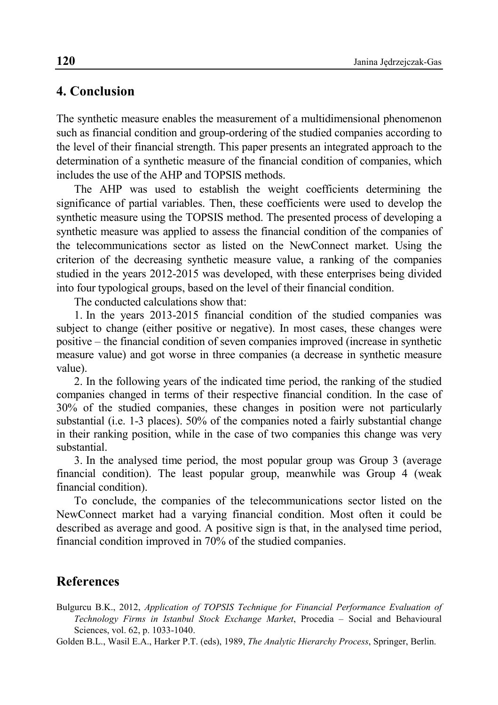#### **4. Conclusion**

The synthetic measure enables the measurement of a multidimensional phenomenon such as financial condition and group-ordering of the studied companies according to the level of their financial strength. This paper presents an integrated approach to the determination of a synthetic measure of the financial condition of companies, which includes the use of the AHP and TOPSIS methods.

The AHP was used to establish the weight coefficients determining the significance of partial variables. Then, these coefficients were used to develop the synthetic measure using the TOPSIS method. The presented process of developing a synthetic measure was applied to assess the financial condition of the companies of the telecommunications sector as listed on the NewConnect market. Using the criterion of the decreasing synthetic measure value, a ranking of the companies studied in the years 2012-2015 was developed, with these enterprises being divided into four typological groups, based on the level of their financial condition.

The conducted calculations show that:

1. In the years 2013-2015 financial condition of the studied companies was subject to change (either positive or negative). In most cases, these changes were positive – the financial condition of seven companies improved (increase in synthetic measure value) and got worse in three companies (a decrease in synthetic measure value).

2. In the following years of the indicated time period, the ranking of the studied companies changed in terms of their respective financial condition. In the case of 30% of the studied companies, these changes in position were not particularly substantial (i.e. 1-3 places). 50% of the companies noted a fairly substantial change in their ranking position, while in the case of two companies this change was very substantial.

3. In the analysed time period, the most popular group was Group 3 (average financial condition). The least popular group, meanwhile was Group 4 (weak financial condition).

To conclude, the companies of the telecommunications sector listed on the NewConnect market had a varying financial condition. Most often it could be described as average and good. A positive sign is that, in the analysed time period, financial condition improved in 70% of the studied companies.

### **References**

Bulgurcu B.K., 2012, *Application of TOPSIS Technique for Financial Performance Evaluation of Technology Firms in Istanbul Stock Exchange Market*, Procedia – Social and Behavioural Sciences, vol. 62, p. 1033-1040.

Golden B.L., Wasil E.A., Harker P.T. (eds), 1989, *The Analytic Hierarchy Process*, Springer, Berlin.